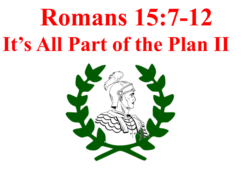## **Romans 15:7-12 It's All Part of the Plan II**

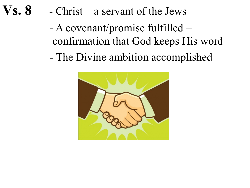- **Vs. 8**  Christ a servant of the Jews
	- A covenant/promise fulfilled confirmation that God keeps His word
	- The Divine ambition accomplished

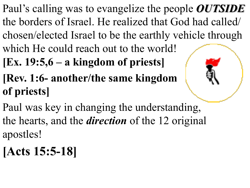- Paul's calling was to evangelize the people *OUTSIDE* the borders of Israel. He realized that God had called/ chosen/elected Israel to be the earthly vehicle through which He could reach out to the world!
- **[Ex. 19:5,6 – a kingdom of priests]**
- **[Rev. 1:6- another/the same kingdom of priests]**
- Paul was key in changing the understanding, the hearts, and the *direction* of the 12 original apostles!
- **[Acts 15:5-18]**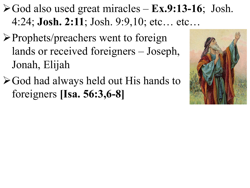$\triangleright$  God also used great miracles – **Ex.9:13-16**; Josh. 4:24; **Josh. 2:11**; Josh. 9:9,10; etc… etc…

- $\triangleright$  Prophets/preachers went to foreign lands or received foreigners – Joseph, Jonah, Elijah
- $\triangleright$  God had always held out His hands to foreigners **[Isa. 56:3,6-8]**

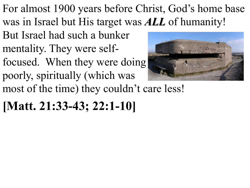For almost 1900 years before Christ, God's home base was in Israel but His target was *ALL* of humanity!

- But Israel had such a bunker mentality. They were self-
- focused. When they were doing poorly, spiritually (which was



most of the time) they couldn't care less!

## **[Matt. 21:33-43; 22:1-10]**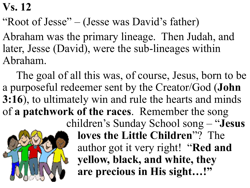## **Vs. 12**

"Root of Jesse" – (Jesse was David's father)

Abraham was the primary lineage. Then Judah, and later, Jesse (David), were the sub-lineages within Abraham.

The goal of all this was, of course, Jesus, born to be a purposeful redeemer sent by the Creator/God (**John 3:16**), to ultimately win and rule the hearts and minds of **a patchwork of the races**. Remember the song children's Sunday School song – "**Jesus** 



**loves the Little Children**"? The author got it very right! "**Red and yellow, black, and white, they are precious in His sight…!"**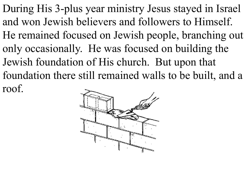During His 3-plus year ministry Jesus stayed in Israel and won Jewish believers and followers to Himself. He remained focused on Jewish people, branching out only occasionally. He was focused on building the Jewish foundation of His church. But upon that foundation there still remained walls to be built, and a roof.

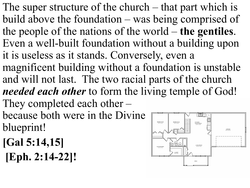The super structure of the church – that part which is build above the foundation – was being comprised of the people of the nations of the world – **the gentiles**. Even a well-built foundation without a building upon it is useless as it stands. Conversely, even a magnificent building without a foundation is unstable and will not last. The two racial parts of the church *needed each other* to form the living temple of God! They completed each other – because both were in the Divine

blueprint!

- **[Gal 5:14,15]**
- **[Eph. 2:14-22]!**